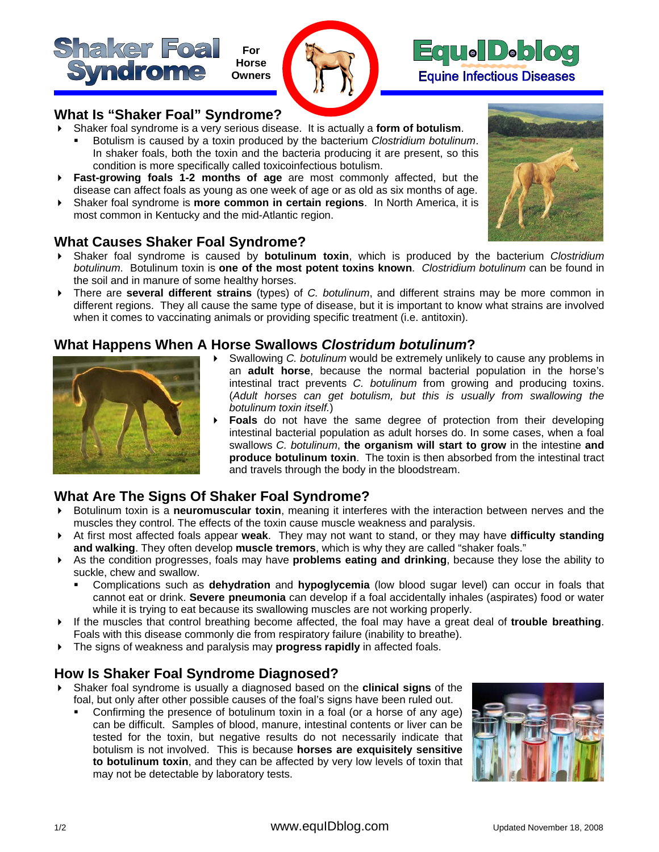





#### **What Is "Shaker Foal" Syndrome?**

- Shaker foal syndrome is a very serious disease. It is actually a **form of botulism**. Botulism is caused by a toxin produced by the bacterium *Clostridium botulinum*. In shaker foals, both the toxin and the bacteria producing it are present, so this condition is more specifically called toxicoinfectious botulism.
- **Fast-growing foals 1-2 months of age** are most commonly affected, but the disease can affect foals as young as one week of age or as old as six months of age.
- Shaker foal syndrome is **more common in certain regions**. In North America, it is most common in Kentucky and the mid-Atlantic region.



# **What Causes Shaker Foal Syndrome?**

- Shaker foal syndrome is caused by **botulinum toxin**, which is produced by the bacterium *Clostridium botulinum*. Botulinum toxin is **one of the most potent toxins known**. *Clostridium botulinum* can be found in the soil and in manure of some healthy horses.
- There are **several different strains** (types) of *C. botulinum*, and different strains may be more common in different regions. They all cause the same type of disease, but it is important to know what strains are involved when it comes to vaccinating animals or providing specific treatment (i.e. antitoxin).

### **What Happens When A Horse Swallows** *Clostridum botulinum***?**



- Swallowing *C. botulinum* would be extremely unlikely to cause any problems in an **adult horse**, because the normal bacterial population in the horse's intestinal tract prevents *C. botulinum* from growing and producing toxins. (*Adult horses can get botulism, but this is usually from swallowing the botulinum toxin itself.*)
- **Foals** do not have the same degree of protection from their developing intestinal bacterial population as adult horses do. In some cases, when a foal swallows *C. botulinum*, **the organism will start to grow** in the intestine **and produce botulinum toxin**. The toxin is then absorbed from the intestinal tract and travels through the body in the bloodstream.

# **What Are The Signs Of Shaker Foal Syndrome?**

- Botulinum toxin is a **neuromuscular toxin**, meaning it interferes with the interaction between nerves and the muscles they control. The effects of the toxin cause muscle weakness and paralysis.
- At first most affected foals appear **weak**. They may not want to stand, or they may have **difficulty standing and walking**. They often develop **muscle tremors**, which is why they are called "shaker foals."
- As the condition progresses, foals may have **problems eating and drinking**, because they lose the ability to suckle, chew and swallow.
	- Complications such as **dehydration** and **hypoglycemia** (low blood sugar level) can occur in foals that cannot eat or drink. **Severe pneumonia** can develop if a foal accidentally inhales (aspirates) food or water while it is trying to eat because its swallowing muscles are not working properly.
- If the muscles that control breathing become affected, the foal may have a great deal of **trouble breathing**. Foals with this disease commonly die from respiratory failure (inability to breathe).
- The signs of weakness and paralysis may **progress rapidly** in affected foals.

### **How Is Shaker Foal Syndrome Diagnosed?**

- Shaker foal syndrome is usually a diagnosed based on the **clinical signs** of the foal, but only after other possible causes of the foal's signs have been ruled out.
	- Confirming the presence of botulinum toxin in a foal (or a horse of any age) can be difficult. Samples of blood, manure, intestinal contents or liver can be tested for the toxin, but negative results do not necessarily indicate that botulism is not involved. This is because **horses are exquisitely sensitive to botulinum toxin**, and they can be affected by very low levels of toxin that may not be detectable by laboratory tests.